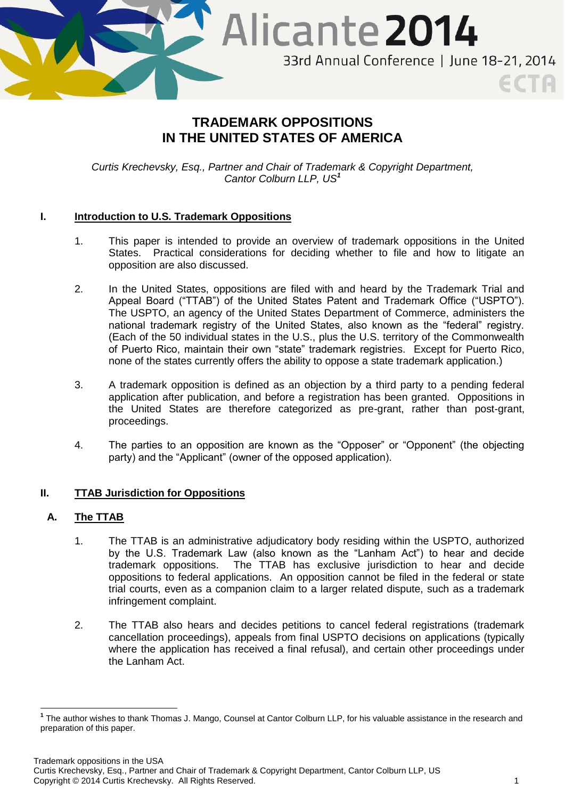

# **TRADEMARK OPPOSITIONS IN THE UNITED STATES OF AMERICA**

*Curtis Krechevsky, Esq., Partner and Chair of Trademark & Copyright Department, Cantor Colburn LLP, US<sup>1</sup>*

# **I. Introduction to U.S. Trademark Oppositions**

- 1. This paper is intended to provide an overview of trademark oppositions in the United States. Practical considerations for deciding whether to file and how to litigate an opposition are also discussed.
- 2. In the United States, oppositions are filed with and heard by the Trademark Trial and Appeal Board ("TTAB") of the United States Patent and Trademark Office ("USPTO"). The USPTO, an agency of the United States Department of Commerce, administers the national trademark registry of the United States, also known as the "federal" registry. (Each of the 50 individual states in the U.S., plus the U.S. territory of the Commonwealth of Puerto Rico, maintain their own "state" trademark registries. Except for Puerto Rico, none of the states currently offers the ability to oppose a state trademark application.)
- 3. A trademark opposition is defined as an objection by a third party to a pending federal application after publication, and before a registration has been granted. Oppositions in the United States are therefore categorized as pre-grant, rather than post-grant, proceedings.
- 4. The parties to an opposition are known as the "Opposer" or "Opponent" (the objecting party) and the "Applicant" (owner of the opposed application).

### **II. TTAB Jurisdiction for Oppositions**

### **A. The TTAB**

- 1. The TTAB is an administrative adjudicatory body residing within the USPTO, authorized by the U.S. Trademark Law (also known as the "Lanham Act") to hear and decide trademark oppositions. The TTAB has exclusive jurisdiction to hear and decide oppositions to federal applications. An opposition cannot be filed in the federal or state trial courts, even as a companion claim to a larger related dispute, such as a trademark infringement complaint.
- 2. The TTAB also hears and decides petitions to cancel federal registrations (trademark cancellation proceedings), appeals from final USPTO decisions on applications (typically where the application has received a final refusal), and certain other proceedings under the Lanham Act.

 $\overline{\phantom{a}}$ **1** The author wishes to thank Thomas J. Mango, Counsel at Cantor Colburn LLP, for his valuable assistance in the research and preparation of this paper.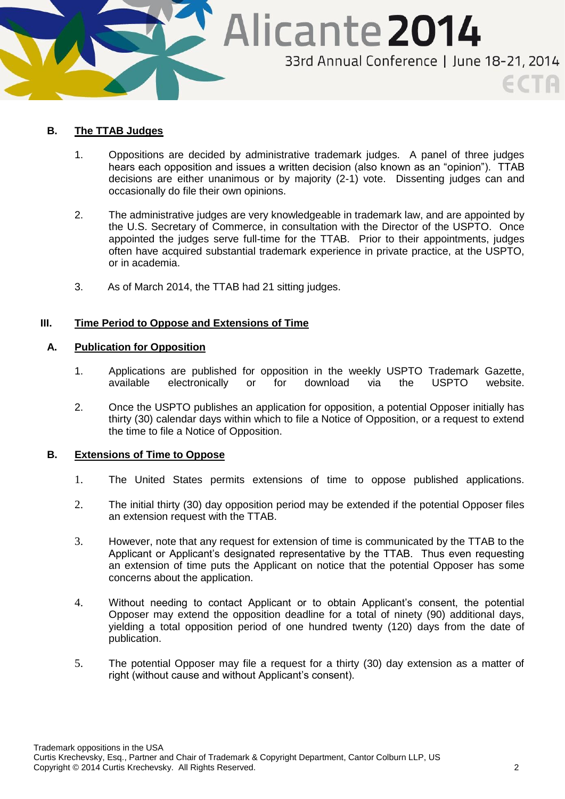

### **B. The TTAB Judges**

- 1. Oppositions are decided by administrative trademark judges. A panel of three judges hears each opposition and issues a written decision (also known as an "opinion"). TTAB decisions are either unanimous or by majority (2-1) vote. Dissenting judges can and occasionally do file their own opinions.
- 2. The administrative judges are very knowledgeable in trademark law, and are appointed by the U.S. Secretary of Commerce, in consultation with the Director of the USPTO. Once appointed the judges serve full-time for the TTAB. Prior to their appointments, judges often have acquired substantial trademark experience in private practice, at the USPTO, or in academia.
- 3. As of March 2014, the TTAB had 21 sitting judges.

### **III. Time Period to Oppose and Extensions of Time**

### **A. Publication for Opposition**

- 1. Applications are published for opposition in the weekly USPTO Trademark Gazette, available electronically or for download via the USPTO website.
- 2. Once the USPTO publishes an application for opposition, a potential Opposer initially has thirty (30) calendar days within which to file a Notice of Opposition, or a request to extend the time to file a Notice of Opposition.

### **B. Extensions of Time to Oppose**

- 1. The United States permits extensions of time to oppose published applications.
- 2. The initial thirty (30) day opposition period may be extended if the potential Opposer files an extension request with the TTAB.
- 3. However, note that any request for extension of time is communicated by the TTAB to the Applicant or Applicant's designated representative by the TTAB. Thus even requesting an extension of time puts the Applicant on notice that the potential Opposer has some concerns about the application.
- 4. Without needing to contact Applicant or to obtain Applicant's consent, the potential Opposer may extend the opposition deadline for a total of ninety (90) additional days, yielding a total opposition period of one hundred twenty (120) days from the date of publication.
- 5. The potential Opposer may file a request for a thirty (30) day extension as a matter of right (without cause and without Applicant's consent).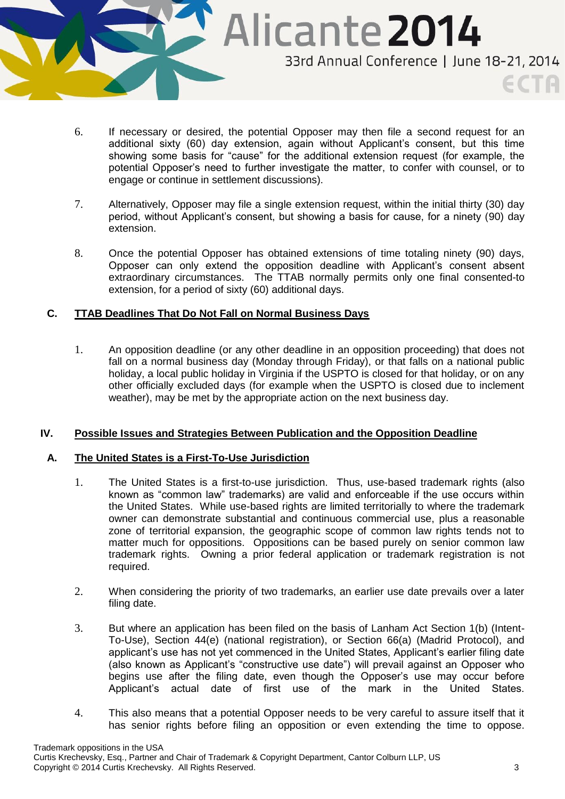

- 6. If necessary or desired, the potential Opposer may then file a second request for an additional sixty (60) day extension, again without Applicant's consent, but this time showing some basis for "cause" for the additional extension request (for example, the potential Opposer's need to further investigate the matter, to confer with counsel, or to engage or continue in settlement discussions).
- 7. Alternatively, Opposer may file a single extension request, within the initial thirty (30) day period, without Applicant's consent, but showing a basis for cause, for a ninety (90) day extension.
- 8. Once the potential Opposer has obtained extensions of time totaling ninety (90) days, Opposer can only extend the opposition deadline with Applicant's consent absent extraordinary circumstances. The TTAB normally permits only one final consented-to extension, for a period of sixty (60) additional days.

# **C. TTAB Deadlines That Do Not Fall on Normal Business Days**

1. An opposition deadline (or any other deadline in an opposition proceeding) that does not fall on a normal business day (Monday through Friday), or that falls on a national public holiday, a local public holiday in Virginia if the USPTO is closed for that holiday, or on any other officially excluded days (for example when the USPTO is closed due to inclement weather), may be met by the appropriate action on the next business day.

### **IV. Possible Issues and Strategies Between Publication and the Opposition Deadline**

### **A. The United States is a First-To-Use Jurisdiction**

- 1. The United States is a first-to-use jurisdiction. Thus, use-based trademark rights (also known as "common law" trademarks) are valid and enforceable if the use occurs within the United States. While use-based rights are limited territorially to where the trademark owner can demonstrate substantial and continuous commercial use, plus a reasonable zone of territorial expansion, the geographic scope of common law rights tends not to matter much for oppositions. Oppositions can be based purely on senior common law trademark rights. Owning a prior federal application or trademark registration is not required.
- 2. When considering the priority of two trademarks, an earlier use date prevails over a later filing date.
- 3. But where an application has been filed on the basis of Lanham Act Section 1(b) (Intent-To-Use), Section 44(e) (national registration), or Section 66(a) (Madrid Protocol), and applicant's use has not yet commenced in the United States, Applicant's earlier filing date (also known as Applicant's "constructive use date") will prevail against an Opposer who begins use after the filing date, even though the Opposer's use may occur before Applicant's actual date of first use of the mark in the United States.
- 4. This also means that a potential Opposer needs to be very careful to assure itself that it has senior rights before filing an opposition or even extending the time to oppose.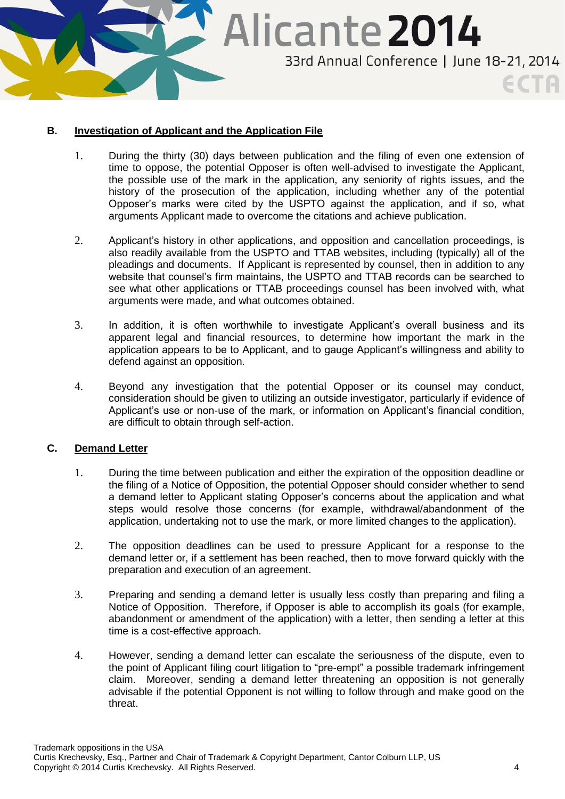

### **B. Investigation of Applicant and the Application File**

- 1. During the thirty (30) days between publication and the filing of even one extension of time to oppose, the potential Opposer is often well-advised to investigate the Applicant, the possible use of the mark in the application, any seniority of rights issues, and the history of the prosecution of the application, including whether any of the potential Opposer's marks were cited by the USPTO against the application, and if so, what arguments Applicant made to overcome the citations and achieve publication.
- 2. Applicant's history in other applications, and opposition and cancellation proceedings, is also readily available from the USPTO and TTAB websites, including (typically) all of the pleadings and documents. If Applicant is represented by counsel, then in addition to any website that counsel's firm maintains, the USPTO and TTAB records can be searched to see what other applications or TTAB proceedings counsel has been involved with, what arguments were made, and what outcomes obtained.
- 3. In addition, it is often worthwhile to investigate Applicant's overall business and its apparent legal and financial resources, to determine how important the mark in the application appears to be to Applicant, and to gauge Applicant's willingness and ability to defend against an opposition.
- 4. Beyond any investigation that the potential Opposer or its counsel may conduct, consideration should be given to utilizing an outside investigator, particularly if evidence of Applicant's use or non-use of the mark, or information on Applicant's financial condition, are difficult to obtain through self-action.

### **C. Demand Letter**

- 1. During the time between publication and either the expiration of the opposition deadline or the filing of a Notice of Opposition, the potential Opposer should consider whether to send a demand letter to Applicant stating Opposer's concerns about the application and what steps would resolve those concerns (for example, withdrawal/abandonment of the application, undertaking not to use the mark, or more limited changes to the application).
- 2. The opposition deadlines can be used to pressure Applicant for a response to the demand letter or, if a settlement has been reached, then to move forward quickly with the preparation and execution of an agreement.
- 3. Preparing and sending a demand letter is usually less costly than preparing and filing a Notice of Opposition. Therefore, if Opposer is able to accomplish its goals (for example, abandonment or amendment of the application) with a letter, then sending a letter at this time is a cost-effective approach.
- 4. However, sending a demand letter can escalate the seriousness of the dispute, even to the point of Applicant filing court litigation to "pre-empt" a possible trademark infringement claim. Moreover, sending a demand letter threatening an opposition is not generally advisable if the potential Opponent is not willing to follow through and make good on the threat.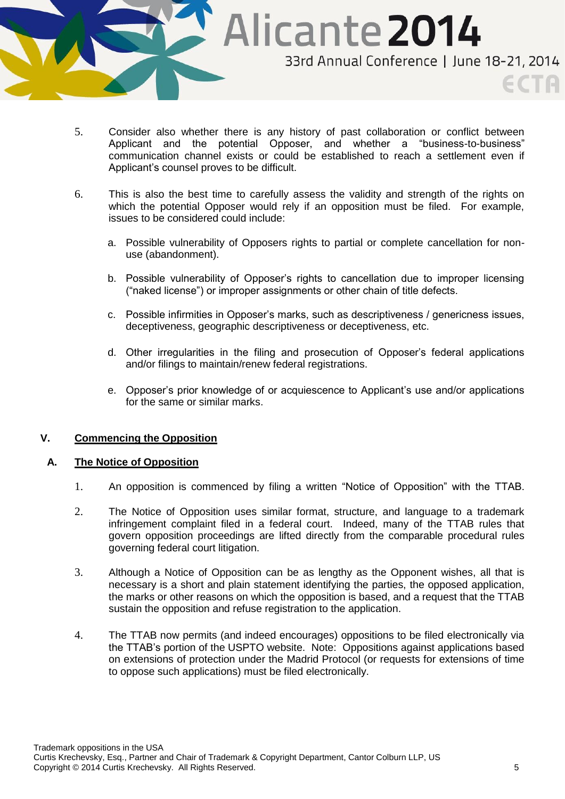

- 5. Consider also whether there is any history of past collaboration or conflict between Applicant and the potential Opposer, and whether a "business-to-business" communication channel exists or could be established to reach a settlement even if Applicant's counsel proves to be difficult.
- 6. This is also the best time to carefully assess the validity and strength of the rights on which the potential Opposer would rely if an opposition must be filed. For example, issues to be considered could include:
	- a. Possible vulnerability of Opposers rights to partial or complete cancellation for nonuse (abandonment).
	- b. Possible vulnerability of Opposer's rights to cancellation due to improper licensing ("naked license") or improper assignments or other chain of title defects.
	- c. Possible infirmities in Opposer's marks, such as descriptiveness / genericness issues, deceptiveness, geographic descriptiveness or deceptiveness, etc.
	- d. Other irregularities in the filing and prosecution of Opposer's federal applications and/or filings to maintain/renew federal registrations.
	- e. Opposer's prior knowledge of or acquiescence to Applicant's use and/or applications for the same or similar marks.

### **V. Commencing the Opposition**

### **A. The Notice of Opposition**

- 1. An opposition is commenced by filing a written "Notice of Opposition" with the TTAB.
- 2. The Notice of Opposition uses similar format, structure, and language to a trademark infringement complaint filed in a federal court. Indeed, many of the TTAB rules that govern opposition proceedings are lifted directly from the comparable procedural rules governing federal court litigation.
- 3. Although a Notice of Opposition can be as lengthy as the Opponent wishes, all that is necessary is a short and plain statement identifying the parties, the opposed application, the marks or other reasons on which the opposition is based, and a request that the TTAB sustain the opposition and refuse registration to the application.
- 4. The TTAB now permits (and indeed encourages) oppositions to be filed electronically via the TTAB's portion of the USPTO website. Note: Oppositions against applications based on extensions of protection under the Madrid Protocol (or requests for extensions of time to oppose such applications) must be filed electronically.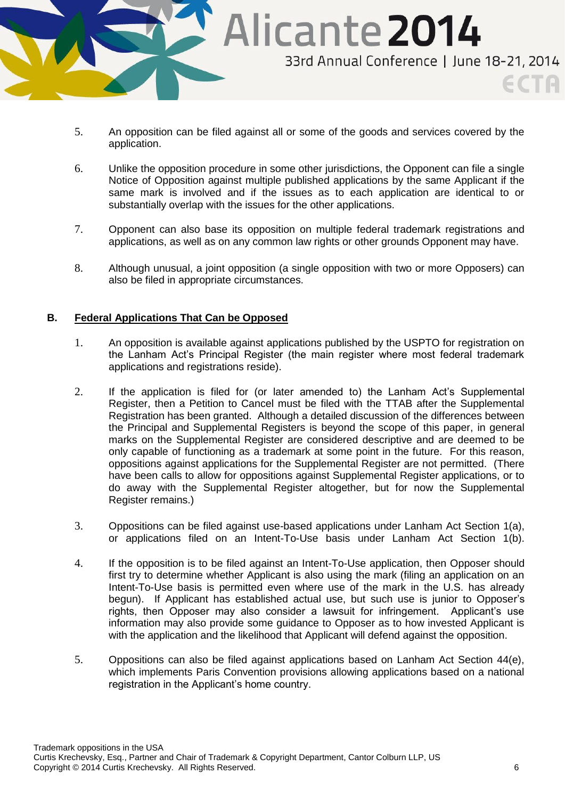

- 5. An opposition can be filed against all or some of the goods and services covered by the application.
- 6. Unlike the opposition procedure in some other jurisdictions, the Opponent can file a single Notice of Opposition against multiple published applications by the same Applicant if the same mark is involved and if the issues as to each application are identical to or substantially overlap with the issues for the other applications.
- 7. Opponent can also base its opposition on multiple federal trademark registrations and applications, as well as on any common law rights or other grounds Opponent may have.
- 8. Although unusual, a joint opposition (a single opposition with two or more Opposers) can also be filed in appropriate circumstances.

### **B. Federal Applications That Can be Opposed**

- 1. An opposition is available against applications published by the USPTO for registration on the Lanham Act's Principal Register (the main register where most federal trademark applications and registrations reside).
- 2. If the application is filed for (or later amended to) the Lanham Act's Supplemental Register, then a Petition to Cancel must be filed with the TTAB after the Supplemental Registration has been granted. Although a detailed discussion of the differences between the Principal and Supplemental Registers is beyond the scope of this paper, in general marks on the Supplemental Register are considered descriptive and are deemed to be only capable of functioning as a trademark at some point in the future. For this reason, oppositions against applications for the Supplemental Register are not permitted. (There have been calls to allow for oppositions against Supplemental Register applications, or to do away with the Supplemental Register altogether, but for now the Supplemental Register remains.)
- 3. Oppositions can be filed against use-based applications under Lanham Act Section 1(a), or applications filed on an Intent-To-Use basis under Lanham Act Section 1(b).
- 4. If the opposition is to be filed against an Intent-To-Use application, then Opposer should first try to determine whether Applicant is also using the mark (filing an application on an Intent-To-Use basis is permitted even where use of the mark in the U.S. has already begun). If Applicant has established actual use, but such use is junior to Opposer's rights, then Opposer may also consider a lawsuit for infringement. Applicant's use information may also provide some guidance to Opposer as to how invested Applicant is with the application and the likelihood that Applicant will defend against the opposition.
- 5. Oppositions can also be filed against applications based on Lanham Act Section 44(e), which implements Paris Convention provisions allowing applications based on a national registration in the Applicant's home country.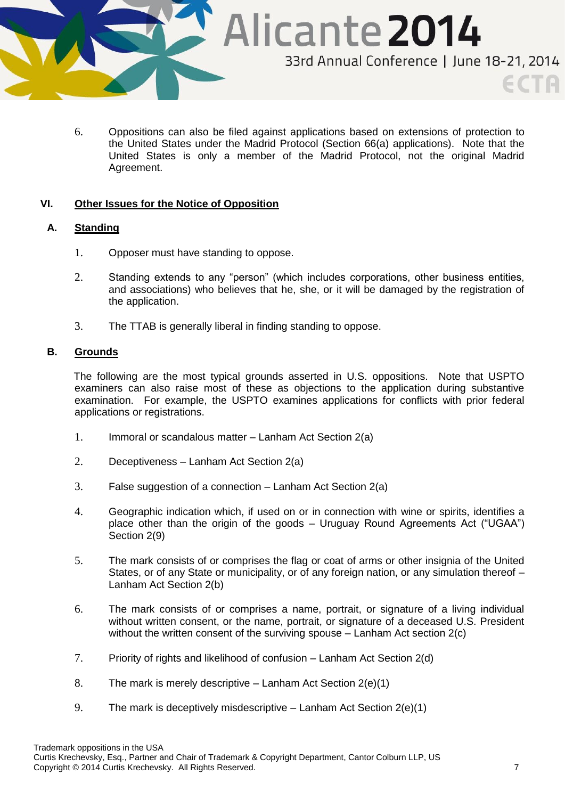

6. Oppositions can also be filed against applications based on extensions of protection to the United States under the Madrid Protocol (Section 66(a) applications). Note that the United States is only a member of the Madrid Protocol, not the original Madrid Agreement.

### **VI. Other Issues for the Notice of Opposition**

### **A. Standing**

- 1. Opposer must have standing to oppose.
- 2. Standing extends to any "person" (which includes corporations, other business entities, and associations) who believes that he, she, or it will be damaged by the registration of the application.
- 3. The TTAB is generally liberal in finding standing to oppose.

### **B. Grounds**

The following are the most typical grounds asserted in U.S. oppositions. Note that USPTO examiners can also raise most of these as objections to the application during substantive examination. For example, the USPTO examines applications for conflicts with prior federal applications or registrations.

- 1. Immoral or scandalous matter Lanham Act Section 2(a)
- 2. Deceptiveness Lanham Act Section 2(a)
- 3. False suggestion of a connection Lanham Act Section 2(a)
- 4. Geographic indication which, if used on or in connection with wine or spirits, identifies a place other than the origin of the goods – Uruguay Round Agreements Act ("UGAA") Section 2(9)
- 5. The mark consists of or comprises the flag or coat of arms or other insignia of the United States, or of any State or municipality, or of any foreign nation, or any simulation thereof – Lanham Act Section 2(b)
- 6. The mark consists of or comprises a name, portrait, or signature of a living individual without written consent, or the name, portrait, or signature of a deceased U.S. President without the written consent of the surviving spouse – Lanham Act section 2(c)
- 7. Priority of rights and likelihood of confusion Lanham Act Section 2(d)
- 8. The mark is merely descriptive  $-$  Lanham Act Section 2(e)(1)
- 9. The mark is deceptively misdescriptive Lanham Act Section 2(e)(1)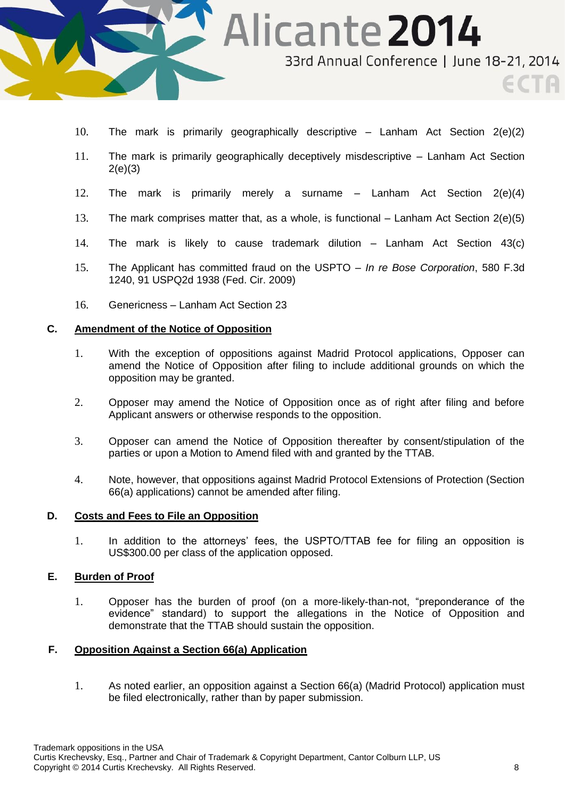

- 10. The mark is primarily geographically descriptive Lanham Act Section 2(e)(2)
- 11. The mark is primarily geographically deceptively misdescriptive Lanham Act Section 2(e)(3)
- 12. The mark is primarily merely a surname Lanham Act Section 2(e)(4)
- 13. The mark comprises matter that, as a whole, is functional Lanham Act Section 2(e)(5)
- 14. The mark is likely to cause trademark dilution Lanham Act Section 43(c)
- 15. The Applicant has committed fraud on the USPTO *In re Bose Corporation*, 580 F.3d 1240, 91 USPQ2d 1938 (Fed. Cir. 2009)
- 16. Genericness Lanham Act Section 23

#### **C. Amendment of the Notice of Opposition**

- 1. With the exception of oppositions against Madrid Protocol applications, Opposer can amend the Notice of Opposition after filing to include additional grounds on which the opposition may be granted.
- 2. Opposer may amend the Notice of Opposition once as of right after filing and before Applicant answers or otherwise responds to the opposition.
- 3. Opposer can amend the Notice of Opposition thereafter by consent/stipulation of the parties or upon a Motion to Amend filed with and granted by the TTAB.
- 4. Note, however, that oppositions against Madrid Protocol Extensions of Protection (Section 66(a) applications) cannot be amended after filing.

#### **D. Costs and Fees to File an Opposition**

1. In addition to the attorneys' fees, the USPTO/TTAB fee for filing an opposition is US\$300.00 per class of the application opposed.

### **E. Burden of Proof**

1. Opposer has the burden of proof (on a more-likely-than-not, "preponderance of the evidence" standard) to support the allegations in the Notice of Opposition and demonstrate that the TTAB should sustain the opposition.

### **F. Opposition Against a Section 66(a) Application**

1. As noted earlier, an opposition against a Section 66(a) (Madrid Protocol) application must be filed electronically, rather than by paper submission.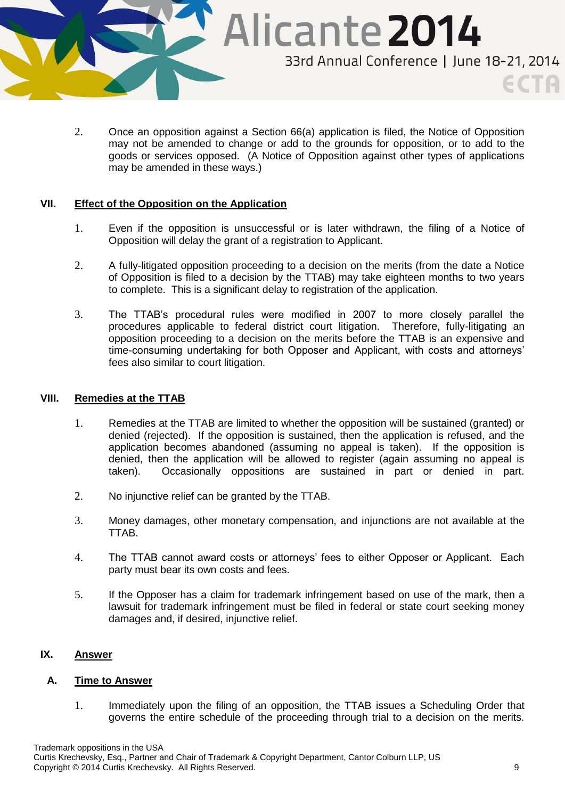

2. Once an opposition against a Section 66(a) application is filed, the Notice of Opposition may not be amended to change or add to the grounds for opposition, or to add to the goods or services opposed. (A Notice of Opposition against other types of applications may be amended in these ways.)

### **VII. Effect of the Opposition on the Application**

- 1. Even if the opposition is unsuccessful or is later withdrawn, the filing of a Notice of Opposition will delay the grant of a registration to Applicant.
- 2. A fully-litigated opposition proceeding to a decision on the merits (from the date a Notice of Opposition is filed to a decision by the TTAB) may take eighteen months to two years to complete. This is a significant delay to registration of the application.
- 3. The TTAB's procedural rules were modified in 2007 to more closely parallel the procedures applicable to federal district court litigation. Therefore, fully-litigating an opposition proceeding to a decision on the merits before the TTAB is an expensive and time-consuming undertaking for both Opposer and Applicant, with costs and attorneys' fees also similar to court litigation.

### **VIII. Remedies at the TTAB**

- 1. Remedies at the TTAB are limited to whether the opposition will be sustained (granted) or denied (rejected). If the opposition is sustained, then the application is refused, and the application becomes abandoned (assuming no appeal is taken). If the opposition is denied, then the application will be allowed to register (again assuming no appeal is taken). Occasionally oppositions are sustained in part or denied in part.
- 2. No injunctive relief can be granted by the TTAB.
- 3. Money damages, other monetary compensation, and injunctions are not available at the TTAB.
- 4. The TTAB cannot award costs or attorneys' fees to either Opposer or Applicant. Each party must bear its own costs and fees.
- 5. If the Opposer has a claim for trademark infringement based on use of the mark, then a lawsuit for trademark infringement must be filed in federal or state court seeking money damages and, if desired, injunctive relief.

# **IX. Answer**

### **A. Time to Answer**

1. Immediately upon the filing of an opposition, the TTAB issues a Scheduling Order that governs the entire schedule of the proceeding through trial to a decision on the merits.

Trademark oppositions in the USA Curtis Krechevsky, Esq., Partner and Chair of Trademark & Copyright Department, Cantor Colburn LLP, US Copyright © 2014 Curtis Krechevsky. All Rights Reserved. 9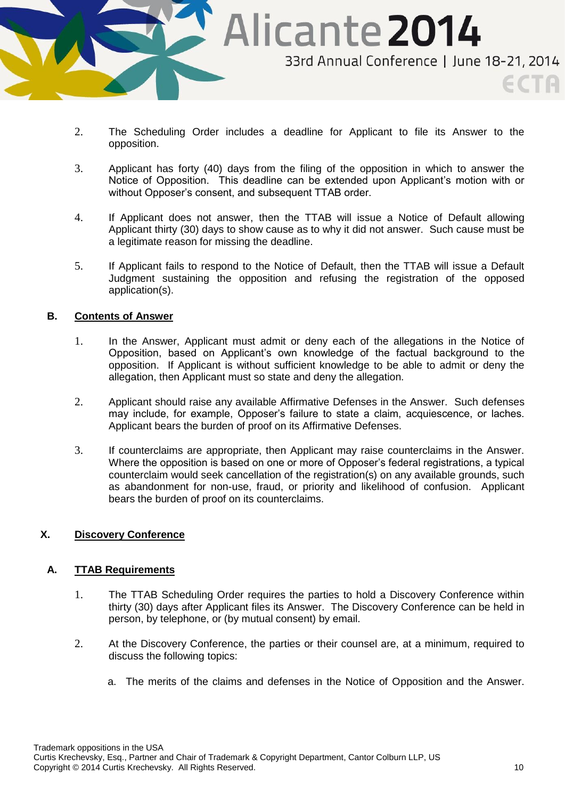

- 2. The Scheduling Order includes a deadline for Applicant to file its Answer to the opposition.
- 3. Applicant has forty (40) days from the filing of the opposition in which to answer the Notice of Opposition. This deadline can be extended upon Applicant's motion with or without Opposer's consent, and subsequent TTAB order.
- 4. If Applicant does not answer, then the TTAB will issue a Notice of Default allowing Applicant thirty (30) days to show cause as to why it did not answer. Such cause must be a legitimate reason for missing the deadline.
- 5. If Applicant fails to respond to the Notice of Default, then the TTAB will issue a Default Judgment sustaining the opposition and refusing the registration of the opposed application(s).

### **B. Contents of Answer**

- 1. In the Answer, Applicant must admit or deny each of the allegations in the Notice of Opposition, based on Applicant's own knowledge of the factual background to the opposition. If Applicant is without sufficient knowledge to be able to admit or deny the allegation, then Applicant must so state and deny the allegation.
- 2. Applicant should raise any available Affirmative Defenses in the Answer. Such defenses may include, for example, Opposer's failure to state a claim, acquiescence, or laches. Applicant bears the burden of proof on its Affirmative Defenses.
- 3. If counterclaims are appropriate, then Applicant may raise counterclaims in the Answer. Where the opposition is based on one or more of Opposer's federal registrations, a typical counterclaim would seek cancellation of the registration(s) on any available grounds, such as abandonment for non-use, fraud, or priority and likelihood of confusion. Applicant bears the burden of proof on its counterclaims.

### **X. Discovery Conference**

### **A. TTAB Requirements**

- 1. The TTAB Scheduling Order requires the parties to hold a Discovery Conference within thirty (30) days after Applicant files its Answer. The Discovery Conference can be held in person, by telephone, or (by mutual consent) by email.
- 2. At the Discovery Conference, the parties or their counsel are, at a minimum, required to discuss the following topics:
	- a. The merits of the claims and defenses in the Notice of Opposition and the Answer.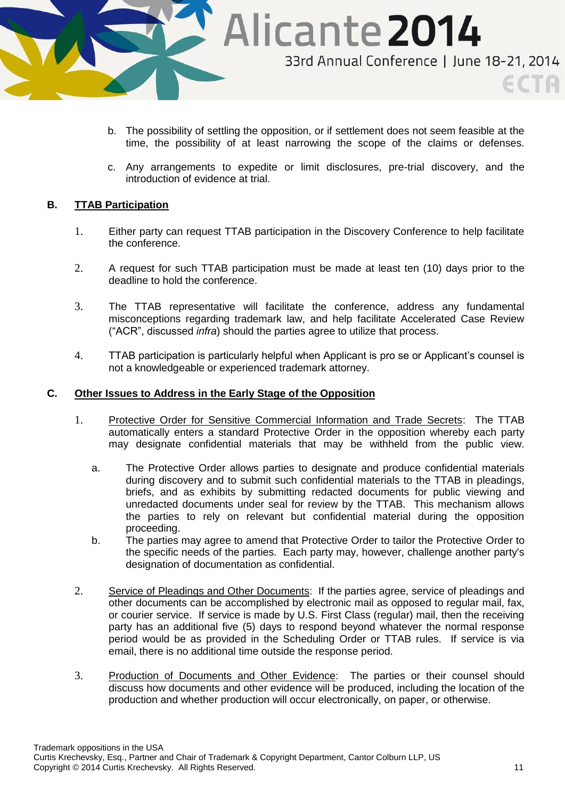

- b. The possibility of settling the opposition, or if settlement does not seem feasible at the time, the possibility of at least narrowing the scope of the claims or defenses.
- c. Any arrangements to expedite or limit disclosures, pre-trial discovery, and the introduction of evidence at trial.

### **B. TTAB Participation**

- 1. Either party can request TTAB participation in the Discovery Conference to help facilitate the conference.
- 2. A request for such TTAB participation must be made at least ten (10) days prior to the deadline to hold the conference.
- 3. The TTAB representative will facilitate the conference, address any fundamental misconceptions regarding trademark law, and help facilitate Accelerated Case Review ("ACR", discussed *infra*) should the parties agree to utilize that process.
- 4. TTAB participation is particularly helpful when Applicant is pro se or Applicant's counsel is not a knowledgeable or experienced trademark attorney.

### **C. Other Issues to Address in the Early Stage of the Opposition**

- 1. Protective Order for Sensitive Commercial Information and Trade Secrets: The TTAB automatically enters a standard Protective Order in the opposition whereby each party may designate confidential materials that may be withheld from the public view.
	- a. The Protective Order allows parties to designate and produce confidential materials during discovery and to submit such confidential materials to the TTAB in pleadings, briefs, and as exhibits by submitting redacted documents for public viewing and unredacted documents under seal for review by the TTAB. This mechanism allows the parties to rely on relevant but confidential material during the opposition proceeding.
	- b. The parties may agree to amend that Protective Order to tailor the Protective Order to the specific needs of the parties. Each party may, however, challenge another party's designation of documentation as confidential.
- 2. Service of Pleadings and Other Documents: If the parties agree, service of pleadings and other documents can be accomplished by electronic mail as opposed to regular mail, fax, or courier service. If service is made by U.S. First Class (regular) mail, then the receiving party has an additional five (5) days to respond beyond whatever the normal response period would be as provided in the Scheduling Order or TTAB rules. If service is via email, there is no additional time outside the response period.
- 3. Production of Documents and Other Evidence: The parties or their counsel should discuss how documents and other evidence will be produced, including the location of the production and whether production will occur electronically, on paper, or otherwise.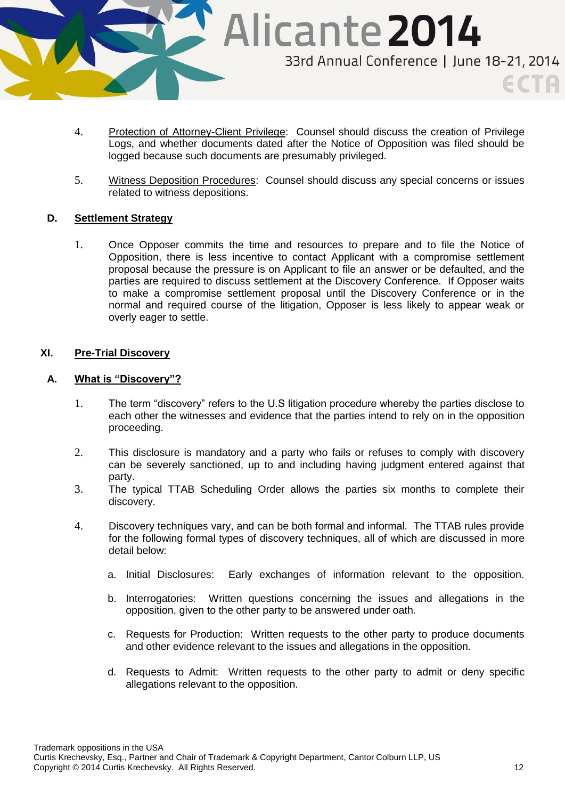

- 4. Protection of Attorney-Client Privilege: Counsel should discuss the creation of Privilege Logs, and whether documents dated after the Notice of Opposition was filed should be logged because such documents are presumably privileged.
- 5. Witness Deposition Procedures: Counsel should discuss any special concerns or issues related to witness depositions.

### **D. Settlement Strategy**

1. Once Opposer commits the time and resources to prepare and to file the Notice of Opposition, there is less incentive to contact Applicant with a compromise settlement proposal because the pressure is on Applicant to file an answer or be defaulted, and the parties are required to discuss settlement at the Discovery Conference. If Opposer waits to make a compromise settlement proposal until the Discovery Conference or in the normal and required course of the litigation, Opposer is less likely to appear weak or overly eager to settle.

### **XI. Pre-Trial Discovery**

### **A. What is "Discovery"?**

- 1. The term "discovery" refers to the U.S litigation procedure whereby the parties disclose to each other the witnesses and evidence that the parties intend to rely on in the opposition proceeding.
- 2. This disclosure is mandatory and a party who fails or refuses to comply with discovery can be severely sanctioned, up to and including having judgment entered against that party.
- 3. The typical TTAB Scheduling Order allows the parties six months to complete their discovery.
- 4. Discovery techniques vary, and can be both formal and informal. The TTAB rules provide for the following formal types of discovery techniques, all of which are discussed in more detail below:
	- a. Initial Disclosures: Early exchanges of information relevant to the opposition.
	- b. Interrogatories: Written questions concerning the issues and allegations in the opposition, given to the other party to be answered under oath.
	- c. Requests for Production: Written requests to the other party to produce documents and other evidence relevant to the issues and allegations in the opposition.
	- d. Requests to Admit: Written requests to the other party to admit or deny specific allegations relevant to the opposition.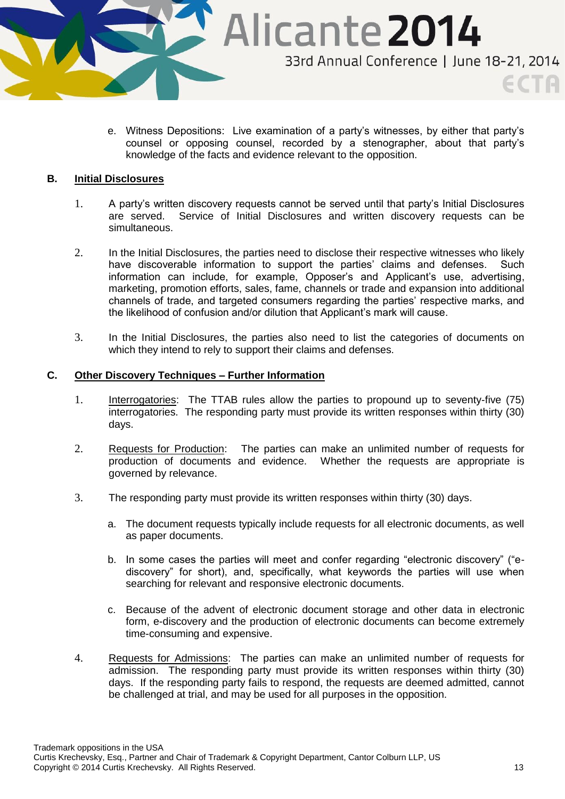

e. Witness Depositions: Live examination of a party's witnesses, by either that party's counsel or opposing counsel, recorded by a stenographer, about that party's knowledge of the facts and evidence relevant to the opposition.

# **B. Initial Disclosures**

- 1. A party's written discovery requests cannot be served until that party's Initial Disclosures are served. Service of Initial Disclosures and written discovery requests can be simultaneous.
- 2. In the Initial Disclosures, the parties need to disclose their respective witnesses who likely have discoverable information to support the parties' claims and defenses. Such information can include, for example, Opposer's and Applicant's use, advertising, marketing, promotion efforts, sales, fame, channels or trade and expansion into additional channels of trade, and targeted consumers regarding the parties' respective marks, and the likelihood of confusion and/or dilution that Applicant's mark will cause.
- 3. In the Initial Disclosures, the parties also need to list the categories of documents on which they intend to rely to support their claims and defenses.

#### **C. Other Discovery Techniques – Further Information**

- 1. Interrogatories: The TTAB rules allow the parties to propound up to seventy-five (75) interrogatories. The responding party must provide its written responses within thirty (30) days.
- 2. Requests for Production: The parties can make an unlimited number of requests for production of documents and evidence. Whether the requests are appropriate is governed by relevance.
- 3. The responding party must provide its written responses within thirty (30) days.
	- a. The document requests typically include requests for all electronic documents, as well as paper documents.
	- b. In some cases the parties will meet and confer regarding "electronic discovery" ("ediscovery" for short), and, specifically, what keywords the parties will use when searching for relevant and responsive electronic documents.
	- c. Because of the advent of electronic document storage and other data in electronic form, e-discovery and the production of electronic documents can become extremely time-consuming and expensive.
- 4. Requests for Admissions: The parties can make an unlimited number of requests for admission. The responding party must provide its written responses within thirty (30) days. If the responding party fails to respond, the requests are deemed admitted, cannot be challenged at trial, and may be used for all purposes in the opposition.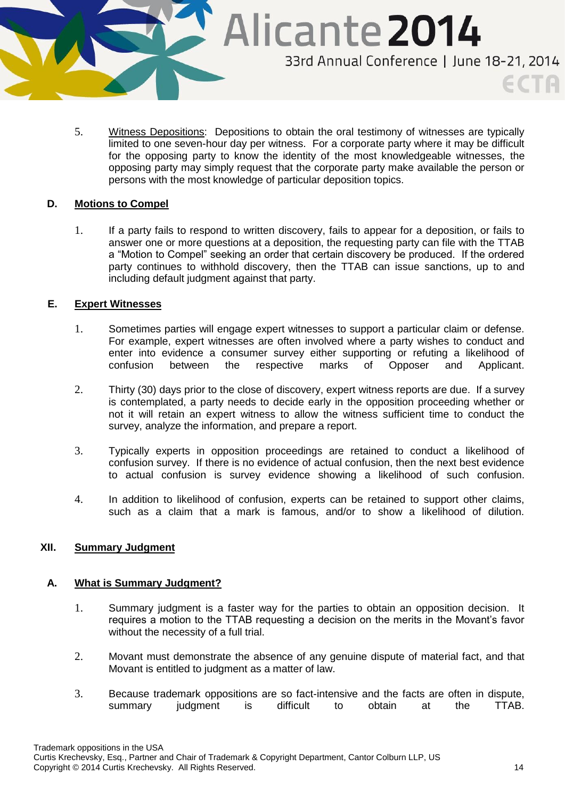

5. Witness Depositions: Depositions to obtain the oral testimony of witnesses are typically limited to one seven-hour day per witness. For a corporate party where it may be difficult for the opposing party to know the identity of the most knowledgeable witnesses, the opposing party may simply request that the corporate party make available the person or persons with the most knowledge of particular deposition topics.

### **D. Motions to Compel**

1. If a party fails to respond to written discovery, fails to appear for a deposition, or fails to answer one or more questions at a deposition, the requesting party can file with the TTAB a "Motion to Compel" seeking an order that certain discovery be produced. If the ordered party continues to withhold discovery, then the TTAB can issue sanctions, up to and including default judgment against that party.

### **E. Expert Witnesses**

- 1. Sometimes parties will engage expert witnesses to support a particular claim or defense. For example, expert witnesses are often involved where a party wishes to conduct and enter into evidence a consumer survey either supporting or refuting a likelihood of confusion between the respective marks of Opposer and Applicant.
- 2. Thirty (30) days prior to the close of discovery, expert witness reports are due. If a survey is contemplated, a party needs to decide early in the opposition proceeding whether or not it will retain an expert witness to allow the witness sufficient time to conduct the survey, analyze the information, and prepare a report.
- 3. Typically experts in opposition proceedings are retained to conduct a likelihood of confusion survey. If there is no evidence of actual confusion, then the next best evidence to actual confusion is survey evidence showing a likelihood of such confusion.
- 4. In addition to likelihood of confusion, experts can be retained to support other claims, such as a claim that a mark is famous, and/or to show a likelihood of dilution.

# **XII. Summary Judgment**

### **A. What is Summary Judgment?**

- 1. Summary judgment is a faster way for the parties to obtain an opposition decision. It requires a motion to the TTAB requesting a decision on the merits in the Movant's favor without the necessity of a full trial.
- 2. Movant must demonstrate the absence of any genuine dispute of material fact, and that Movant is entitled to judgment as a matter of law.
- 3. Because trademark oppositions are so fact-intensive and the facts are often in dispute, summary judgment is difficult to obtain at the TTAB.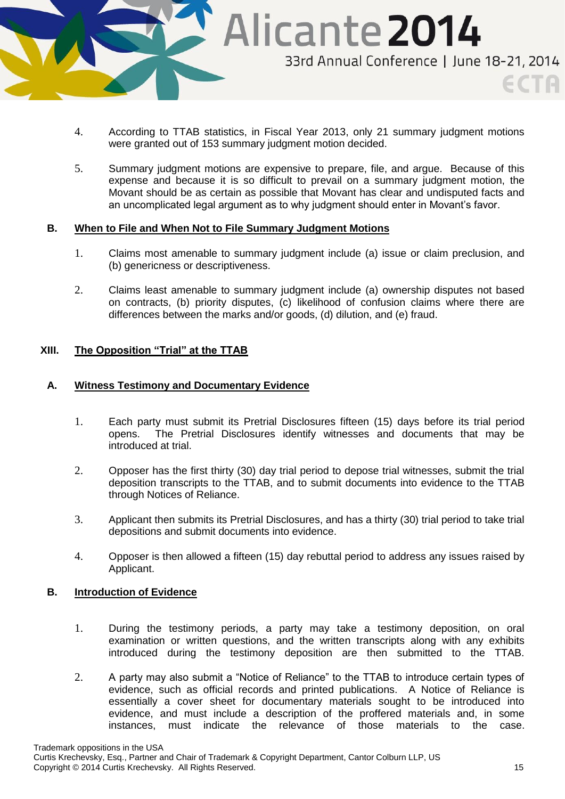

- 4. According to TTAB statistics, in Fiscal Year 2013, only 21 summary judgment motions were granted out of 153 summary judgment motion decided.
- 5. Summary judgment motions are expensive to prepare, file, and argue. Because of this expense and because it is so difficult to prevail on a summary judgment motion, the Movant should be as certain as possible that Movant has clear and undisputed facts and an uncomplicated legal argument as to why judgment should enter in Movant's favor.

### **B. When to File and When Not to File Summary Judgment Motions**

- 1. Claims most amenable to summary judgment include (a) issue or claim preclusion, and (b) genericness or descriptiveness.
- 2. Claims least amenable to summary judgment include (a) ownership disputes not based on contracts, (b) priority disputes, (c) likelihood of confusion claims where there are differences between the marks and/or goods, (d) dilution, and (e) fraud.

### **XIII. The Opposition "Trial" at the TTAB**

### **A. Witness Testimony and Documentary Evidence**

- 1. Each party must submit its Pretrial Disclosures fifteen (15) days before its trial period opens. The Pretrial Disclosures identify witnesses and documents that may be introduced at trial.
- 2. Opposer has the first thirty (30) day trial period to depose trial witnesses, submit the trial deposition transcripts to the TTAB, and to submit documents into evidence to the TTAB through Notices of Reliance.
- 3. Applicant then submits its Pretrial Disclosures, and has a thirty (30) trial period to take trial depositions and submit documents into evidence.
- 4. Opposer is then allowed a fifteen (15) day rebuttal period to address any issues raised by Applicant.

### **B. Introduction of Evidence**

- 1. During the testimony periods, a party may take a testimony deposition, on oral examination or written questions, and the written transcripts along with any exhibits introduced during the testimony deposition are then submitted to the TTAB.
- 2. A party may also submit a "Notice of Reliance" to the TTAB to introduce certain types of evidence, such as official records and printed publications. A Notice of Reliance is essentially a cover sheet for documentary materials sought to be introduced into evidence, and must include a description of the proffered materials and, in some instances, must indicate the relevance of those materials to the case.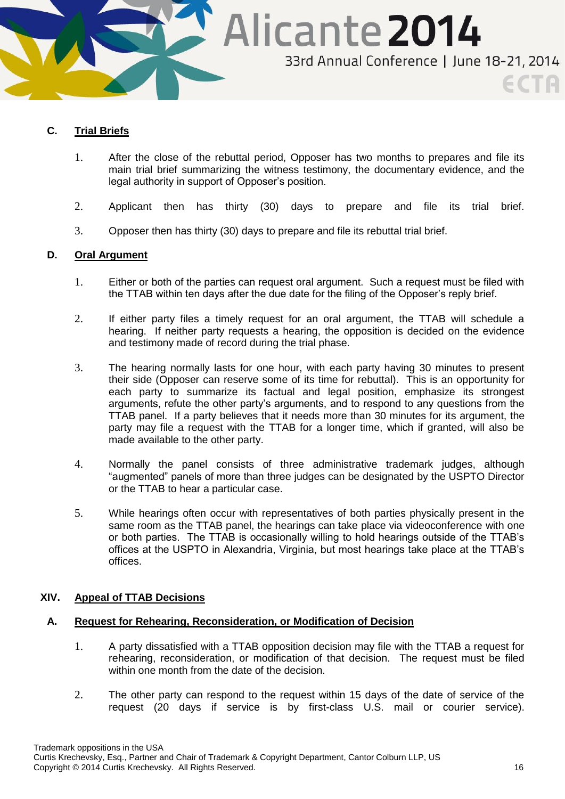

# **C. Trial Briefs**

- 1. After the close of the rebuttal period, Opposer has two months to prepares and file its main trial brief summarizing the witness testimony, the documentary evidence, and the legal authority in support of Opposer's position.
- 2. Applicant then has thirty (30) days to prepare and file its trial brief.
- 3. Opposer then has thirty (30) days to prepare and file its rebuttal trial brief.

# **D. Oral Argument**

- 1. Either or both of the parties can request oral argument. Such a request must be filed with the TTAB within ten days after the due date for the filing of the Opposer's reply brief.
- 2. If either party files a timely request for an oral argument, the TTAB will schedule a hearing. If neither party requests a hearing, the opposition is decided on the evidence and testimony made of record during the trial phase.
- 3. The hearing normally lasts for one hour, with each party having 30 minutes to present their side (Opposer can reserve some of its time for rebuttal). This is an opportunity for each party to summarize its factual and legal position, emphasize its strongest arguments, refute the other party's arguments, and to respond to any questions from the TTAB panel. If a party believes that it needs more than 30 minutes for its argument, the party may file a request with the TTAB for a longer time, which if granted, will also be made available to the other party.
- 4. Normally the panel consists of three administrative trademark judges, although "augmented" panels of more than three judges can be designated by the USPTO Director or the TTAB to hear a particular case.
- 5. While hearings often occur with representatives of both parties physically present in the same room as the TTAB panel, the hearings can take place via videoconference with one or both parties. The TTAB is occasionally willing to hold hearings outside of the TTAB's offices at the USPTO in Alexandria, Virginia, but most hearings take place at the TTAB's offices.

### **XIV. Appeal of TTAB Decisions**

### **A. Request for Rehearing, Reconsideration, or Modification of Decision**

- 1. A party dissatisfied with a TTAB opposition decision may file with the TTAB a request for rehearing, reconsideration, or modification of that decision. The request must be filed within one month from the date of the decision.
- 2. The other party can respond to the request within 15 days of the date of service of the request (20 days if service is by first-class U.S. mail or courier service).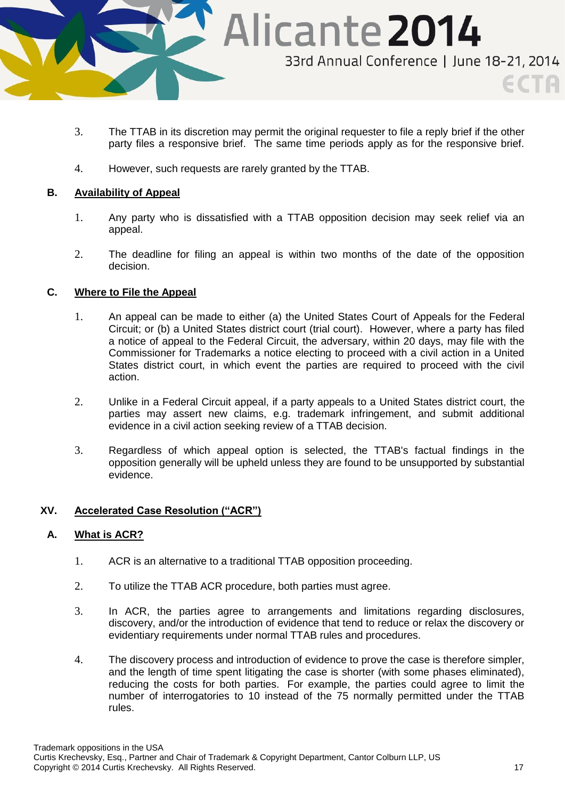

- 3. The TTAB in its discretion may permit the original requester to file a reply brief if the other party files a responsive brief. The same time periods apply as for the responsive brief.
- 4. However, such requests are rarely granted by the TTAB.

# **B. Availability of Appeal**

- 1. Any party who is dissatisfied with a TTAB opposition decision may seek relief via an appeal.
- 2. The deadline for filing an appeal is within two months of the date of the opposition decision.

# **C. Where to File the Appeal**

- 1. An appeal can be made to either (a) the United States Court of Appeals for the Federal Circuit; or (b) a United States district court (trial court). However, where a party has filed a notice of appeal to the Federal Circuit, the adversary, within 20 days, may file with the Commissioner for Trademarks a notice electing to proceed with a civil action in a United States district court, in which event the parties are required to proceed with the civil action.
- 2. Unlike in a Federal Circuit appeal, if a party appeals to a United States district court, the parties may assert new claims, e.g. trademark infringement, and submit additional evidence in a civil action seeking review of a TTAB decision.
- 3. Regardless of which appeal option is selected, the TTAB's factual findings in the opposition generally will be upheld unless they are found to be unsupported by substantial evidence.

### **XV. Accelerated Case Resolution ("ACR")**

### **A. What is ACR?**

- 1. ACR is an alternative to a traditional TTAB opposition proceeding.
- 2. To utilize the TTAB ACR procedure, both parties must agree.
- 3. In ACR, the parties agree to arrangements and limitations regarding disclosures, discovery, and/or the introduction of evidence that tend to reduce or relax the discovery or evidentiary requirements under normal TTAB rules and procedures.
- 4. The discovery process and introduction of evidence to prove the case is therefore simpler, and the length of time spent litigating the case is shorter (with some phases eliminated), reducing the costs for both parties. For example, the parties could agree to limit the number of interrogatories to 10 instead of the 75 normally permitted under the TTAB rules.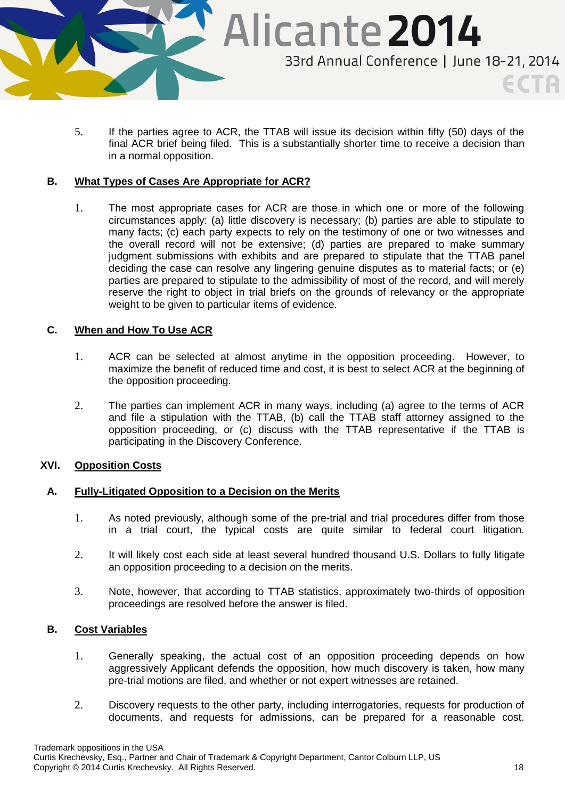

5. If the parties agree to ACR, the TTAB will issue its decision within fifty (50) days of the final ACR brief being filed. This is a substantially shorter time to receive a decision than in a normal opposition.

### **B. What Types of Cases Are Appropriate for ACR?**

1. The most appropriate cases for ACR are those in which one or more of the following circumstances apply: (a) little discovery is necessary; (b) parties are able to stipulate to many facts; (c) each party expects to rely on the testimony of one or two witnesses and the overall record will not be extensive; (d) parties are prepared to make summary judgment submissions with exhibits and are prepared to stipulate that the TTAB panel deciding the case can resolve any lingering genuine disputes as to material facts; or (e) parties are prepared to stipulate to the admissibility of most of the record, and will merely reserve the right to object in trial briefs on the grounds of relevancy or the appropriate weight to be given to particular items of evidence.

# **C. When and How To Use ACR**

- 1. ACR can be selected at almost anytime in the opposition proceeding. However, to maximize the benefit of reduced time and cost, it is best to select ACR at the beginning of the opposition proceeding.
- 2. The parties can implement ACR in many ways, including (a) agree to the terms of ACR and file a stipulation with the TTAB, (b) call the TTAB staff attorney assigned to the opposition proceeding, or (c) discuss with the TTAB representative if the TTAB is participating in the Discovery Conference.

# **XVI. Opposition Costs**

### **A. Fully-Litigated Opposition to a Decision on the Merits**

- 1. As noted previously, although some of the pre-trial and trial procedures differ from those in a trial court, the typical costs are quite similar to federal court litigation.
- 2. It will likely cost each side at least several hundred thousand U.S. Dollars to fully litigate an opposition proceeding to a decision on the merits.
- 3. Note, however, that according to TTAB statistics, approximately two-thirds of opposition proceedings are resolved before the answer is filed.

### **B. Cost Variables**

- 1. Generally speaking, the actual cost of an opposition proceeding depends on how aggressively Applicant defends the opposition, how much discovery is taken, how many pre-trial motions are filed, and whether or not expert witnesses are retained.
- 2. Discovery requests to the other party, including interrogatories, requests for production of documents, and requests for admissions, can be prepared for a reasonable cost.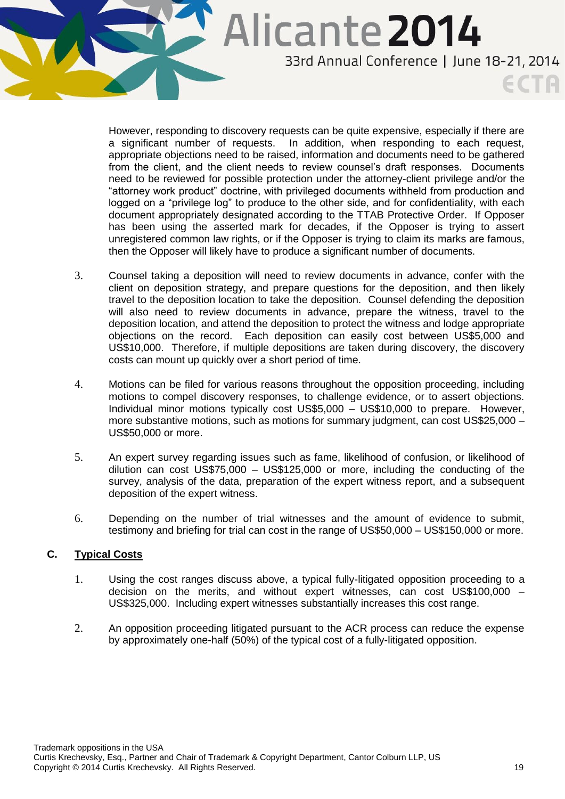

However, responding to discovery requests can be quite expensive, especially if there are a significant number of requests. In addition, when responding to each request, appropriate objections need to be raised, information and documents need to be gathered from the client, and the client needs to review counsel's draft responses. Documents need to be reviewed for possible protection under the attorney-client privilege and/or the "attorney work product" doctrine, with privileged documents withheld from production and logged on a "privilege log" to produce to the other side, and for confidentiality, with each document appropriately designated according to the TTAB Protective Order. If Opposer has been using the asserted mark for decades, if the Opposer is trying to assert unregistered common law rights, or if the Opposer is trying to claim its marks are famous, then the Opposer will likely have to produce a significant number of documents.

- 3. Counsel taking a deposition will need to review documents in advance, confer with the client on deposition strategy, and prepare questions for the deposition, and then likely travel to the deposition location to take the deposition. Counsel defending the deposition will also need to review documents in advance, prepare the witness, travel to the deposition location, and attend the deposition to protect the witness and lodge appropriate objections on the record. Each deposition can easily cost between US\$5,000 and US\$10,000. Therefore, if multiple depositions are taken during discovery, the discovery costs can mount up quickly over a short period of time.
- 4. Motions can be filed for various reasons throughout the opposition proceeding, including motions to compel discovery responses, to challenge evidence, or to assert objections. Individual minor motions typically cost US\$5,000 – US\$10,000 to prepare. However, more substantive motions, such as motions for summary judgment, can cost US\$25,000 – US\$50,000 or more.
- 5. An expert survey regarding issues such as fame, likelihood of confusion, or likelihood of dilution can cost US\$75,000 – US\$125,000 or more, including the conducting of the survey, analysis of the data, preparation of the expert witness report, and a subsequent deposition of the expert witness.
- 6. Depending on the number of trial witnesses and the amount of evidence to submit, testimony and briefing for trial can cost in the range of US\$50,000 – US\$150,000 or more.

# **C. Typical Costs**

- 1. Using the cost ranges discuss above, a typical fully-litigated opposition proceeding to a decision on the merits, and without expert witnesses, can cost US\$100,000 – US\$325,000. Including expert witnesses substantially increases this cost range.
- 2. An opposition proceeding litigated pursuant to the ACR process can reduce the expense by approximately one-half (50%) of the typical cost of a fully-litigated opposition.